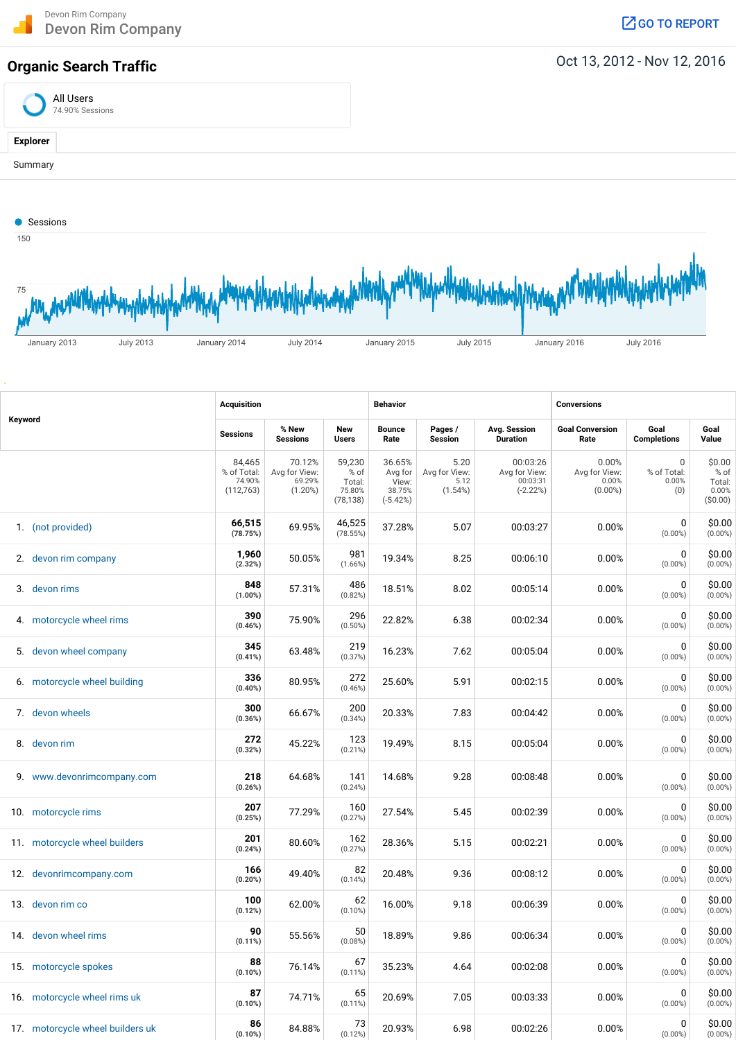## **Organic Search Traffic Organic Search Traffic Oct 13, 2012 - Nov 12, 2016**





|         |                                  | Acquisition                                  |                                                 |                                                 | <b>Behavior</b>                                    |                                          |                                                     | <b>Conversions</b>                            |                                            |                                              |  |
|---------|----------------------------------|----------------------------------------------|-------------------------------------------------|-------------------------------------------------|----------------------------------------------------|------------------------------------------|-----------------------------------------------------|-----------------------------------------------|--------------------------------------------|----------------------------------------------|--|
| Keyword |                                  | Sessions                                     | % New<br><b>Sessions</b>                        | New<br><b>Users</b>                             | <b>Bounce</b><br>Rate                              | Pages /<br><b>Session</b>                | Avg. Session<br><b>Duration</b>                     | <b>Goal Conversion</b><br>Rate                | Goal<br><b>Completions</b>                 | Goal<br>Value                                |  |
|         |                                  | 84,465<br>% of Total:<br>74.90%<br>(112,763) | 70.12%<br>Avg for View:<br>69.29%<br>$(1.20\%)$ | 59,230<br>% of<br>Total:<br>75.80%<br>(78, 138) | 36.65%<br>Avg for<br>View:<br>38.75%<br>$(-5.42%)$ | 5.20<br>Avg for View:<br>5.12<br>(1.54%) | 00:03:26<br>Avg for View:<br>00:03:31<br>$(-2.22%)$ | 0.00%<br>Avg for View:<br>0.00%<br>$(0.00\%)$ | $\mathbf 0$<br>% of Total:<br>0.00%<br>(0) | \$0.00<br>% of<br>Total:<br>0.00%<br>(50.00) |  |
|         | 1. (not provided)                | 66,515<br>(78.75%)                           | 69.95%                                          | 46,525<br>(78.55%)                              | 37.28%                                             | 5.07                                     | 00:03:27                                            | 0.00%                                         | 0<br>$(0.00\%)$                            | \$0.00<br>$(0.00\%)$                         |  |
|         | 2. devon rim company             | 1,960<br>(2.32%)                             | 50.05%                                          | 981<br>(1.66%)                                  | 19.34%                                             | 8.25                                     | 00:06:10                                            | 0.00%                                         | 0<br>$(0.00\%)$                            | \$0.00<br>$(0.00\%)$                         |  |
|         | 3. devon rims                    | 848<br>$(1.00\%)$                            | 57.31%                                          | 486<br>(0.82%)                                  | 18.51%                                             | 8.02                                     | 00:05:14                                            | 0.00%                                         | 0<br>$(0.00\%)$                            | \$0.00<br>$(0.00\%)$                         |  |
|         | 4. motorcycle wheel rims         | 390<br>(0.46%)                               | 75.90%                                          | 296<br>$(0.50\%)$                               | 22.82%                                             | 6.38                                     | 00:02:34                                            | 0.00%                                         | 0<br>$(0.00\%)$                            | \$0.00<br>$(0.00\%)$                         |  |
| 5.      | devon wheel company              | 345<br>(0.41%)                               | 63.48%                                          | 219<br>(0.37%)                                  | 16.23%                                             | 7.62                                     | 00:05:04                                            | 0.00%                                         | 0<br>$(0.00\%)$                            | \$0.00<br>$(0.00\%)$                         |  |
|         | 6. motorcycle wheel building     | 336<br>$(0.40\%)$                            | 80.95%                                          | 272<br>(0.46%)                                  | 25.60%                                             | 5.91                                     | 00:02:15                                            | 0.00%                                         | 0<br>$(0.00\%)$                            | \$0.00<br>$(0.00\%)$                         |  |
|         | 7. devon wheels                  | 300<br>(0.36%)                               | 66.67%                                          | 200<br>(0.34%)                                  | 20.33%                                             | 7.83                                     | 00:04:42                                            | 0.00%                                         | 0<br>$(0.00\%)$                            | \$0.00<br>$(0.00\%)$                         |  |
|         | 8. devon rim                     | 272<br>(0.32%)                               | 45.22%                                          | 123<br>(0.21%)                                  | 19.49%                                             | 8.15                                     | 00:05:04                                            | 0.00%                                         | 0<br>$(0.00\%)$                            | \$0.00<br>$(0.00\%)$                         |  |
|         | 9. www.devonrimcompany.com       | 218<br>(0.26%)                               | 64.68%                                          | 141<br>(0.24%)                                  | 14.68%                                             | 9.28                                     | 00:08:48                                            | 0.00%                                         | 0<br>$(0.00\%)$                            | \$0.00<br>$(0.00\%)$                         |  |
|         | 10. motorcycle rims              | 207<br>(0.25%)                               | 77.29%                                          | 160<br>(0.27%)                                  | 27.54%                                             | 5.45                                     | 00:02:39                                            | 0.00%                                         | 0<br>$(0.00\%)$                            | \$0.00<br>$(0.00\%)$                         |  |
|         | 11. motorcycle wheel builders    | 201<br>(0.24%)                               | 80.60%                                          | 162<br>(0.27%)                                  | 28.36%                                             | 5.15                                     | 00:02:21                                            | 0.00%                                         | 0<br>$(0.00\%)$                            | \$0.00<br>$(0.00\%)$                         |  |
|         | 12. devonrimcompany.com          | 166<br>(0.20%)                               | 49.40%                                          | 82<br>(0.14%)                                   | 20.48%                                             | 9.36                                     | 00:08:12                                            | 0.00%                                         | 0<br>$(0.00\%)$                            | \$0.00<br>$(0.00\%)$                         |  |
|         | 13. devon rim co                 | 100<br>(0.12%)                               | 62.00%                                          | 62<br>$(0.10\%)$                                | 16.00%                                             | 9.18                                     | 00:06:39                                            | 0.00%                                         | 0<br>$(0.00\%)$                            | \$0.00<br>$(0.00\%)$                         |  |
|         | 14. devon wheel rims             | 90<br>(0.11%)                                | 55.56%                                          | 50<br>(0.08%)                                   | 18.89%                                             | 9.86                                     | 00:06:34                                            | 0.00%                                         | 0<br>$(0.00\%)$                            | \$0.00<br>$(0.00\%)$                         |  |
|         | 15. motorcycle spokes            | 88<br>(0.10%)                                | 76.14%                                          | 67<br>$(0.11\%)$                                | 35.23%                                             | 4.64                                     | 00:02:08                                            | 0.00%                                         | 0<br>$(0.00\%)$                            | \$0.00<br>$(0.00\%)$                         |  |
|         | 16. motorcycle wheel rims uk     | 87<br>$(0.10\%)$                             | 74.71%                                          | 65<br>$(0.11\%)$                                | 20.69%                                             | 7.05                                     | 00:03:33                                            | 0.00%                                         | 0<br>$(0.00\%)$                            | \$0.00<br>$(0.00\%)$                         |  |
|         | 17. motorcycle wheel builders uk | 86<br>(0.10%)                                | 84.88%                                          | 73<br>(0.12%)                                   | 20.93%                                             | 6.98                                     | 00:02:26                                            | 0.00%                                         | 0<br>$(0.00\%)$                            | \$0.00<br>$(0.00\%)$                         |  |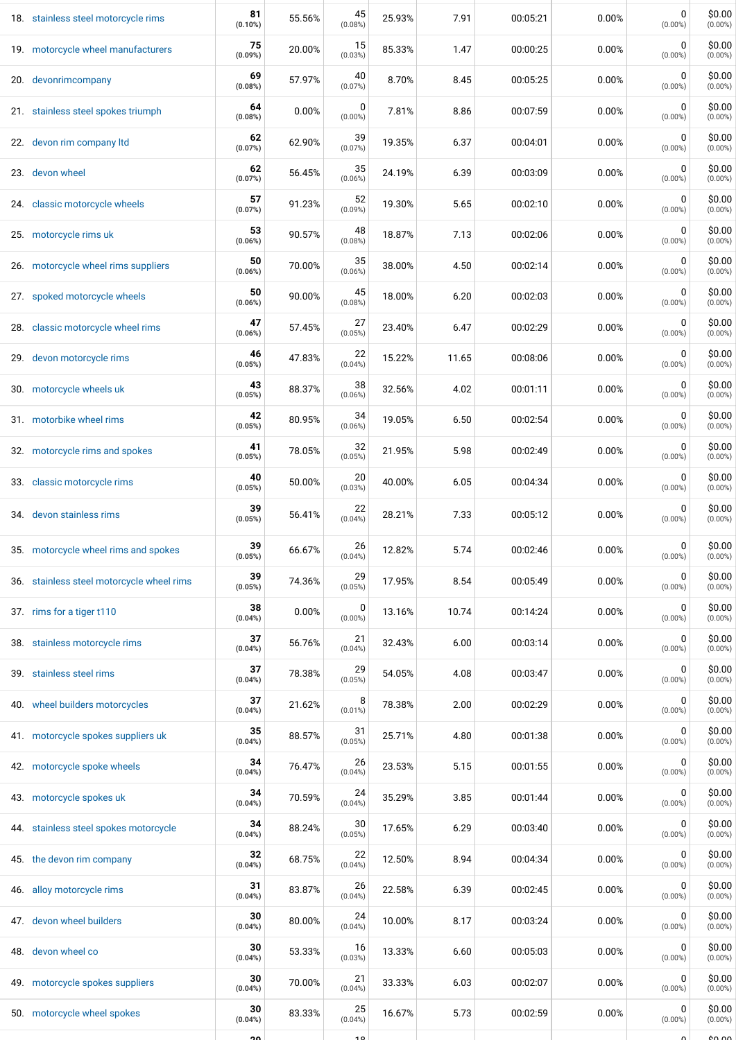| 18. stainless steel motorcycle rims       | 81<br>(0.10%) | 55.56% | 45<br>(0.08%)   | 25.93% | 7.91  | 00:05:21 | 0.00% | 0<br>$(0.00\%)$ | \$0.00<br>$(0.00\%)$ |
|-------------------------------------------|---------------|--------|-----------------|--------|-------|----------|-------|-----------------|----------------------|
| 19. motorcycle wheel manufacturers        | 75<br>(0.09%) | 20.00% | 15<br>(0.03%)   | 85.33% | 1.47  | 00:00:25 | 0.00% | 0<br>$(0.00\%)$ | \$0.00<br>$(0.00\%)$ |
| 20. devonrimcompany                       | 69<br>(0.08%) | 57.97% | 40<br>(0.07%)   | 8.70%  | 8.45  | 00:05:25 | 0.00% | 0<br>$(0.00\%)$ | \$0.00<br>$(0.00\%)$ |
| 21. stainless steel spokes triumph        | 64<br>(0.08%) | 0.00%  | 0<br>$(0.00\%)$ | 7.81%  | 8.86  | 00:07:59 | 0.00% | 0<br>$(0.00\%)$ | \$0.00<br>$(0.00\%)$ |
| 22. devon rim company ltd                 | 62<br>(0.07%) | 62.90% | 39<br>(0.07%)   | 19.35% | 6.37  | 00:04:01 | 0.00% | 0<br>$(0.00\%)$ | \$0.00<br>$(0.00\%)$ |
| 23. devon wheel                           | 62<br>(0.07%) | 56.45% | 35<br>(0.06%)   | 24.19% | 6.39  | 00:03:09 | 0.00% | 0<br>$(0.00\%)$ | \$0.00<br>$(0.00\%)$ |
| 24. classic motorcycle wheels             | 57<br>(0.07%) | 91.23% | 52<br>(0.09%)   | 19.30% | 5.65  | 00:02:10 | 0.00% | 0<br>$(0.00\%)$ | \$0.00<br>$(0.00\%)$ |
| 25. motorcycle rims uk                    | 53<br>(0.06%) | 90.57% | 48<br>(0.08%)   | 18.87% | 7.13  | 00:02:06 | 0.00% | 0<br>$(0.00\%)$ | \$0.00<br>$(0.00\%)$ |
| 26. motorcycle wheel rims suppliers       | 50<br>(0.06%) | 70.00% | 35<br>(0.06%)   | 38.00% | 4.50  | 00:02:14 | 0.00% | 0<br>$(0.00\%)$ | \$0.00<br>$(0.00\%)$ |
| 27. spoked motorcycle wheels              | 50<br>(0.06%) | 90.00% | 45<br>(0.08%)   | 18.00% | 6.20  | 00:02:03 | 0.00% | 0<br>$(0.00\%)$ | \$0.00<br>$(0.00\%)$ |
| 28. classic motorcycle wheel rims         | 47<br>(0.06%) | 57.45% | 27<br>(0.05%)   | 23.40% | 6.47  | 00:02:29 | 0.00% | 0<br>$(0.00\%)$ | \$0.00<br>$(0.00\%)$ |
| 29. devon motorcycle rims                 | 46<br>(0.05%) | 47.83% | 22<br>(0.04%)   | 15.22% | 11.65 | 00:08:06 | 0.00% | 0<br>$(0.00\%)$ | \$0.00<br>$(0.00\%)$ |
| 30. motorcycle wheels uk                  | 43<br>(0.05%) | 88.37% | 38<br>(0.06%)   | 32.56% | 4.02  | 00:01:11 | 0.00% | 0<br>$(0.00\%)$ | \$0.00<br>$(0.00\%)$ |
| 31. motorbike wheel rims                  | 42<br>(0.05%) | 80.95% | 34<br>(0.06%)   | 19.05% | 6.50  | 00:02:54 | 0.00% | 0<br>$(0.00\%)$ | \$0.00<br>$(0.00\%)$ |
| 32. motorcycle rims and spokes            | 41<br>(0.05%) | 78.05% | 32<br>(0.05%)   | 21.95% | 5.98  | 00:02:49 | 0.00% | 0<br>$(0.00\%)$ | \$0.00<br>$(0.00\%)$ |
| 33. classic motorcycle rims               | 40<br>(0.05%) | 50.00% | 20<br>(0.03%)   | 40.00% | 6.05  | 00:04:34 | 0.00% | 0<br>$(0.00\%)$ | \$0.00<br>$(0.00\%)$ |
| 34. devon stainless rims                  | 39<br>(0.05%) | 56.41% | 22<br>(0.04%)   | 28.21% | 7.33  | 00:05:12 | 0.00% | 0<br>$(0.00\%)$ | \$0.00<br>$(0.00\%)$ |
| 35. motorcycle wheel rims and spokes      | 39<br>(0.05%) | 66.67% | 26<br>(0.04%)   | 12.82% | 5.74  | 00:02:46 | 0.00% | 0<br>$(0.00\%)$ | \$0.00<br>$(0.00\%)$ |
| 36. stainless steel motorcycle wheel rims | 39<br>(0.05%) | 74.36% | 29<br>(0.05%)   | 17.95% | 8.54  | 00:05:49 | 0.00% | 0<br>$(0.00\%)$ | \$0.00<br>$(0.00\%)$ |
| 37. rims for a tiger t110                 | 38<br>(0.04%) | 0.00%  | 0<br>$(0.00\%)$ | 13.16% | 10.74 | 00:14:24 | 0.00% | 0<br>$(0.00\%)$ | \$0.00<br>$(0.00\%)$ |
| 38. stainless motorcycle rims             | 37<br>(0.04%) | 56.76% | 21<br>(0.04%)   | 32.43% | 6.00  | 00:03:14 | 0.00% | 0<br>$(0.00\%)$ | \$0.00<br>$(0.00\%)$ |
| 39. stainless steel rims                  | 37<br>(0.04%) | 78.38% | 29<br>(0.05%)   | 54.05% | 4.08  | 00:03:47 | 0.00% | 0<br>$(0.00\%)$ | \$0.00<br>$(0.00\%)$ |
| 40. wheel builders motorcycles            | 37<br>(0.04%) | 21.62% | 8<br>$(0.01\%)$ | 78.38% | 2.00  | 00:02:29 | 0.00% | 0<br>$(0.00\%)$ | \$0.00<br>$(0.00\%)$ |
| 41. motorcycle spokes suppliers uk        | 35<br>(0.04%) | 88.57% | 31<br>(0.05%)   | 25.71% | 4.80  | 00:01:38 | 0.00% | 0<br>$(0.00\%)$ | \$0.00<br>$(0.00\%)$ |
| 42. motorcycle spoke wheels               | 34<br>(0.04%) | 76.47% | 26<br>(0.04%)   | 23.53% | 5.15  | 00:01:55 | 0.00% | 0<br>$(0.00\%)$ | \$0.00<br>$(0.00\%)$ |
| 43. motorcycle spokes uk                  | 34<br>(0.04%) | 70.59% | 24<br>(0.04%)   | 35.29% | 3.85  | 00:01:44 | 0.00% | 0<br>$(0.00\%)$ | \$0.00<br>$(0.00\%)$ |
| 44. stainless steel spokes motorcycle     | 34<br>(0.04%) | 88.24% | 30<br>(0.05%)   | 17.65% | 6.29  | 00:03:40 | 0.00% | 0<br>$(0.00\%)$ | \$0.00<br>$(0.00\%)$ |
| 45. the devon rim company                 | 32<br>(0.04%) | 68.75% | 22<br>(0.04%)   | 12.50% | 8.94  | 00:04:34 | 0.00% | 0<br>$(0.00\%)$ | \$0.00<br>$(0.00\%)$ |
| 46. alloy motorcycle rims                 | 31<br>(0.04%) | 83.87% | 26<br>(0.04%)   | 22.58% | 6.39  | 00:02:45 | 0.00% | 0<br>$(0.00\%)$ | \$0.00<br>$(0.00\%)$ |
| 47. devon wheel builders                  | 30<br>(0.04%) | 80.00% | 24<br>(0.04%)   | 10.00% | 8.17  | 00:03:24 | 0.00% | 0<br>$(0.00\%)$ | \$0.00<br>$(0.00\%)$ |
| 48. devon wheel co                        | 30<br>(0.04%) | 53.33% | 16<br>(0.03%)   | 13.33% | 6.60  | 00:05:03 | 0.00% | 0<br>$(0.00\%)$ | \$0.00<br>$(0.00\%)$ |
| 49. motorcycle spokes suppliers           | 30<br>(0.04%) | 70.00% | 21<br>(0.04%)   | 33.33% | 6.03  | 00:02:07 | 0.00% | 0<br>$(0.00\%)$ | \$0.00<br>$(0.00\%)$ |
| 50. motorcycle wheel spokes               | 30<br>(0.04%) | 83.33% | 25<br>(0.04%)   | 16.67% | 5.73  | 00:02:59 | 0.00% | 0<br>$(0.00\%)$ | \$0.00<br>$(0.00\%)$ |
|                                           | ഛ             |        | 10              |        |       |          |       |                 | ے مم                 |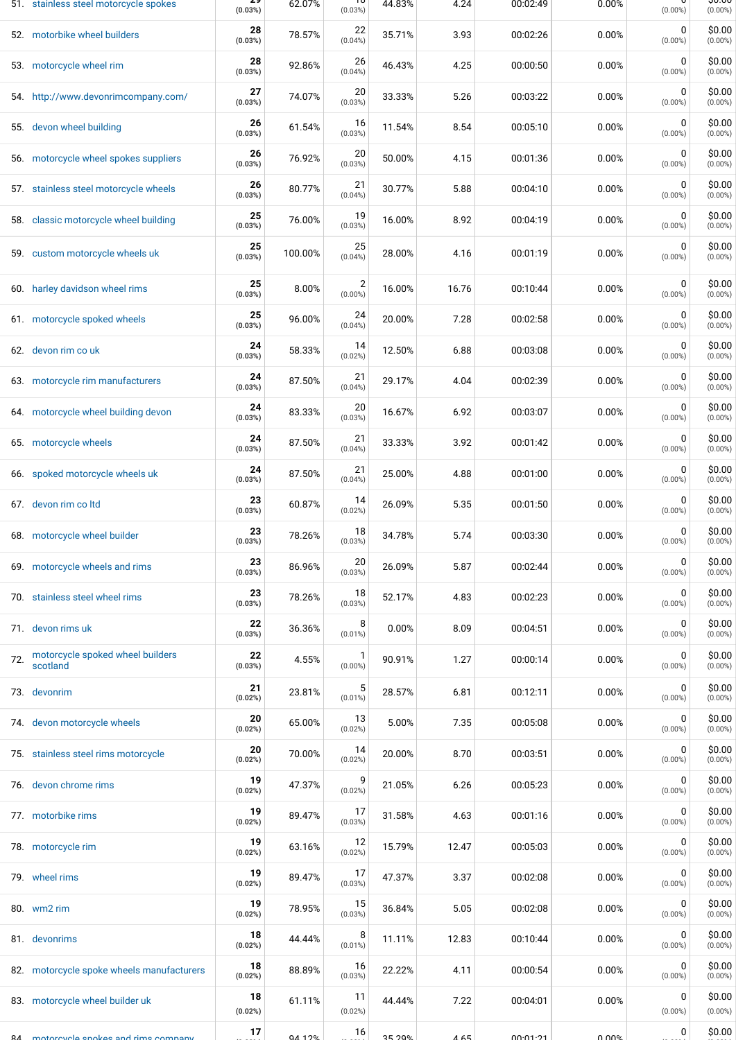|     | 51. stainless steel motorcycle spokes        | z.<br>(0.03%) | 62.07%   | τσ<br>(0.03%)                | 44.83% | 4.24  | 00:02:49 | 0.00% | $(0.00\%)$                | ᢒᠦᡂ<br>$(0.00\%)$    |
|-----|----------------------------------------------|---------------|----------|------------------------------|--------|-------|----------|-------|---------------------------|----------------------|
|     | 52. motorbike wheel builders                 | 28<br>(0.03%) | 78.57%   | 22<br>$(0.04\%)$             | 35.71% | 3.93  | 00:02:26 | 0.00% | 0<br>$(0.00\%)$           | \$0.00<br>$(0.00\%)$ |
|     | 53. motorcycle wheel rim                     | 28<br>(0.03%) | 92.86%   | 26<br>$(0.04\%)$             | 46.43% | 4.25  | 00:00:50 | 0.00% | 0<br>$(0.00\%)$           | \$0.00<br>$(0.00\%)$ |
|     | 54. http://www.devonrimcompany.com/          | 27<br>(0.03%) | 74.07%   | 20<br>(0.03%)                | 33.33% | 5.26  | 00:03:22 | 0.00% | $\mathbf 0$<br>$(0.00\%)$ | \$0.00<br>$(0.00\%)$ |
|     | 55. devon wheel building                     | 26<br>(0.03%) | 61.54%   | 16<br>(0.03%)                | 11.54% | 8.54  | 00:05:10 | 0.00% | 0<br>$(0.00\%)$           | \$0.00<br>$(0.00\%)$ |
|     | 56. motorcycle wheel spokes suppliers        | 26<br>(0.03%) | 76.92%   | 20<br>(0.03%)                | 50.00% | 4.15  | 00:01:36 | 0.00% | 0<br>$(0.00\%)$           | \$0.00<br>$(0.00\%)$ |
|     | 57. stainless steel motorcycle wheels        | 26<br>(0.03%) | 80.77%   | 21<br>(0.04%)                | 30.77% | 5.88  | 00:04:10 | 0.00% | 0<br>$(0.00\%)$           | \$0.00<br>$(0.00\%)$ |
| 58. | classic motorcycle wheel building            | 25<br>(0.03%) | 76.00%   | 19<br>(0.03%)                | 16.00% | 8.92  | 00:04:19 | 0.00% | 0<br>$(0.00\%)$           | \$0.00<br>$(0.00\%)$ |
|     | 59. custom motorcycle wheels uk              | 25<br>(0.03%) | 100.00%  | 25<br>$(0.04\%)$             | 28.00% | 4.16  | 00:01:19 | 0.00% | 0<br>$(0.00\%)$           | \$0.00<br>$(0.00\%)$ |
|     | 60. harley davidson wheel rims               | 25<br>(0.03%) | 8.00%    | $\overline{2}$<br>$(0.00\%)$ | 16.00% | 16.76 | 00:10:44 | 0.00% | 0<br>$(0.00\%)$           | \$0.00<br>$(0.00\%)$ |
|     | 61. motorcycle spoked wheels                 | 25<br>(0.03%) | 96.00%   | 24<br>(0.04%)                | 20.00% | 7.28  | 00:02:58 | 0.00% | $\mathbf 0$<br>$(0.00\%)$ | \$0.00<br>$(0.00\%)$ |
|     | 62. devon rim co uk                          | 24<br>(0.03%) | 58.33%   | 14<br>(0.02%)                | 12.50% | 6.88  | 00:03:08 | 0.00% | $\mathbf 0$<br>$(0.00\%)$ | \$0.00<br>$(0.00\%)$ |
|     | 63. motorcycle rim manufacturers             | 24<br>(0.03%) | 87.50%   | 21<br>$(0.04\%)$             | 29.17% | 4.04  | 00:02:39 | 0.00% | 0<br>$(0.00\%)$           | \$0.00<br>$(0.00\%)$ |
|     | 64. motorcycle wheel building devon          | 24<br>(0.03%) | 83.33%   | 20<br>(0.03%)                | 16.67% | 6.92  | 00:03:07 | 0.00% | 0<br>$(0.00\%)$           | \$0.00<br>$(0.00\%)$ |
|     | 65. motorcycle wheels                        | 24<br>(0.03%) | 87.50%   | 21<br>$(0.04\%)$             | 33.33% | 3.92  | 00:01:42 | 0.00% | 0<br>$(0.00\%)$           | \$0.00<br>$(0.00\%)$ |
|     | 66. spoked motorcycle wheels uk              | 24<br>(0.03%) | 87.50%   | 21<br>$(0.04\%)$             | 25.00% | 4.88  | 00:01:00 | 0.00% | 0<br>$(0.00\%)$           | \$0.00<br>$(0.00\%)$ |
|     | 67. devon rim coltd                          | 23<br>(0.03%) | 60.87%   | 14<br>(0.02%)                | 26.09% | 5.35  | 00:01:50 | 0.00% | $\mathbf 0$<br>$(0.00\%)$ | \$0.00<br>$(0.00\%)$ |
|     | 68. motorcycle wheel builder                 | 23<br>(0.03%) | 78.26%   | 18<br>(0.03%)                | 34.78% | 5.74  | 00:03:30 | 0.00% | 0<br>$(0.00\%)$           | \$0.00<br>$(0.00\%)$ |
|     | 69. motorcycle wheels and rims               | 23<br>(0.03%) | 86.96%   | 20<br>(0.03%)                | 26.09% | 5.87  | 00:02:44 | 0.00% | 0<br>$(0.00\%)$           | \$0.00<br>$(0.00\%)$ |
|     | 70. stainless steel wheel rims               | 23<br>(0.03%) | 78.26%   | 18<br>(0.03%)                | 52.17% | 4.83  | 00:02:23 | 0.00% | 0<br>$(0.00\%)$           | \$0.00<br>$(0.00\%)$ |
|     | 71. devon rims uk                            | 22<br>(0.03%) | 36.36%   | 8<br>$(0.01\%)$              | 0.00%  | 8.09  | 00:04:51 | 0.00% | 0<br>$(0.00\%)$           | \$0.00<br>$(0.00\%)$ |
| 72. | motorcycle spoked wheel builders<br>scotland | 22<br>(0.03%) | 4.55%    | $\mathbf{1}$<br>$(0.00\%)$   | 90.91% | 1.27  | 00:00:14 | 0.00% | 0<br>$(0.00\%)$           | \$0.00<br>$(0.00\%)$ |
|     | 73. devonrim                                 | 21<br>(0.02%) | 23.81%   | 5<br>$(0.01\%)$              | 28.57% | 6.81  | 00:12:11 | 0.00% | 0<br>$(0.00\%)$           | \$0.00<br>$(0.00\%)$ |
|     | 74. devon motorcycle wheels                  | 20<br>(0.02%) | 65.00%   | 13<br>(0.02%)                | 5.00%  | 7.35  | 00:05:08 | 0.00% | 0<br>$(0.00\%)$           | \$0.00<br>$(0.00\%)$ |
|     | 75. stainless steel rims motorcycle          | 20<br>(0.02%) | 70.00%   | 14<br>(0.02%)                | 20.00% | 8.70  | 00:03:51 | 0.00% | 0<br>$(0.00\%)$           | \$0.00<br>$(0.00\%)$ |
|     | 76. devon chrome rims                        | 19<br>(0.02%) | 47.37%   | 9<br>(0.02%)                 | 21.05% | 6.26  | 00:05:23 | 0.00% | 0<br>$(0.00\%)$           | \$0.00<br>$(0.00\%)$ |
|     | 77. motorbike rims                           | 19<br>(0.02%) | 89.47%   | 17<br>(0.03%)                | 31.58% | 4.63  | 00:01:16 | 0.00% | 0<br>$(0.00\%)$           | \$0.00<br>$(0.00\%)$ |
|     | 78. motorcycle rim                           | 19<br>(0.02%) | 63.16%   | 12<br>(0.02%)                | 15.79% | 12.47 | 00:05:03 | 0.00% | $\mathbf 0$<br>$(0.00\%)$ | \$0.00<br>$(0.00\%)$ |
|     | 79. wheel rims                               | 19<br>(0.02%) | 89.47%   | 17<br>(0.03%)                | 47.37% | 3.37  | 00:02:08 | 0.00% | $\mathbf 0$<br>$(0.00\%)$ | \$0.00<br>$(0.00\%)$ |
|     | 80. wm2 rim                                  | 19<br>(0.02%) | 78.95%   | 15<br>(0.03%)                | 36.84% | 5.05  | 00:02:08 | 0.00% | 0<br>$(0.00\%)$           | \$0.00<br>$(0.00\%)$ |
|     | 81. devonrims                                | 18<br>(0.02%) | 44.44%   | 8<br>$(0.01\%)$              | 11.11% | 12.83 | 00:10:44 | 0.00% | 0<br>$(0.00\%)$           | \$0.00<br>$(0.00\%)$ |
|     | 82. motorcycle spoke wheels manufacturers    | 18<br>(0.02%) | 88.89%   | 16<br>(0.03%)                | 22.22% | 4.11  | 00:00:54 | 0.00% | 0<br>$(0.00\%)$           | \$0.00<br>$(0.00\%)$ |
|     | 83. motorcycle wheel builder uk              | 18<br>(0.02%) | 61.11%   | 11<br>(0.02%)                | 44.44% | 7.22  | 00:04:01 | 0.00% | 0<br>$(0.00\%)$           | \$0.00<br>$(0.00\%)$ |
|     | 84 motorovole spokes and rims company        | 17            | 04 1 2 % | 16                           | 35.20% | 4.65  | 00:01:21 | በ በበ% | 0                         | \$0.00               |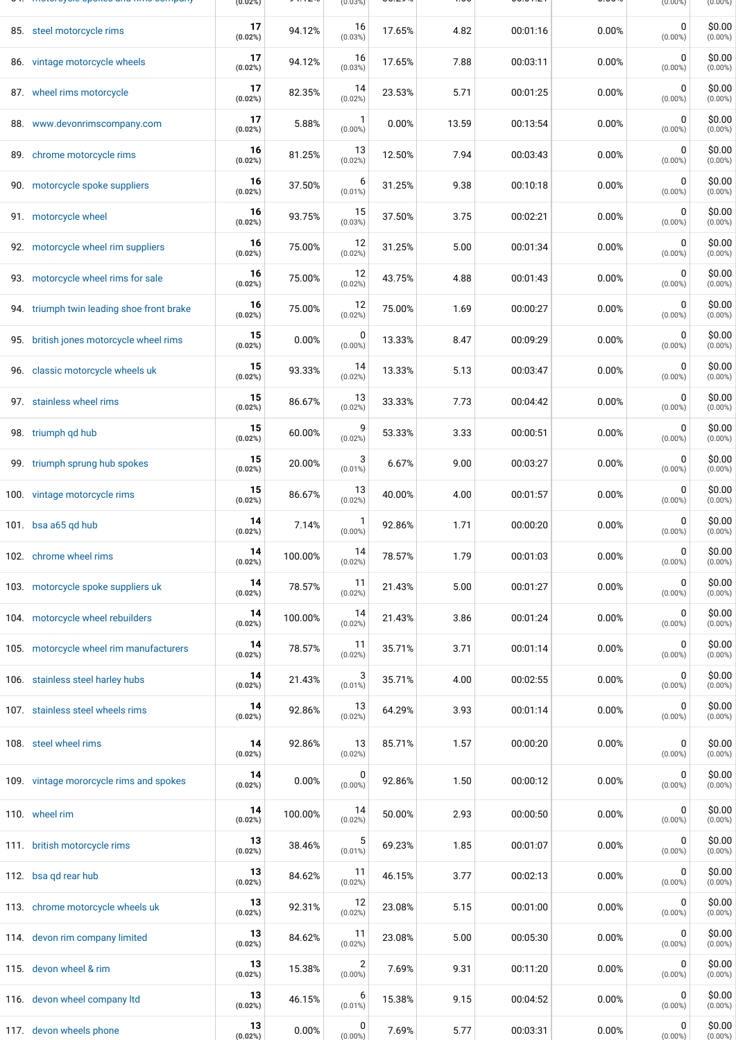| <b>THOROID, ONE OPONCO GITG TIME OOM POINT</b> | (0.02%)       |         | $(0.03\%)$                 |        |       |          |       | $(0.00\%)$                | $(0.00\%)$           |
|------------------------------------------------|---------------|---------|----------------------------|--------|-------|----------|-------|---------------------------|----------------------|
| 85. steel motorcycle rims                      | 17<br>(0.02%) | 94.12%  | 16<br>(0.03%)              | 17.65% | 4.82  | 00:01:16 | 0.00% | 0<br>$(0.00\%)$           | \$0.00<br>$(0.00\%)$ |
| 86. vintage motorcycle wheels                  | 17<br>(0.02%) | 94.12%  | 16<br>(0.03%)              | 17.65% | 7.88  | 00:03:11 | 0.00% | 0<br>$(0.00\%)$           | \$0.00<br>$(0.00\%)$ |
| 87. wheel rims motorcycle                      | 17<br>(0.02%) | 82.35%  | 14<br>(0.02%)              | 23.53% | 5.71  | 00:01:25 | 0.00% | 0<br>$(0.00\%)$           | \$0.00<br>$(0.00\%)$ |
| 88. www.devonrimscompany.com                   | 17<br>(0.02%) | 5.88%   | $(0.00\%)$                 | 0.00%  | 13.59 | 00:13:54 | 0.00% | $\mathbf 0$<br>$(0.00\%)$ | \$0.00<br>$(0.00\%)$ |
| 89. chrome motorcycle rims                     | 16<br>(0.02%) | 81.25%  | 13<br>(0.02%)              | 12.50% | 7.94  | 00:03:43 | 0.00% | 0<br>$(0.00\%)$           | \$0.00<br>$(0.00\%)$ |
| 90. motorcycle spoke suppliers                 | 16<br>(0.02%) | 37.50%  | 6<br>$(0.01\%)$            | 31.25% | 9.38  | 00:10:18 | 0.00% | 0<br>$(0.00\%)$           | \$0.00<br>$(0.00\%)$ |
| 91. motorcycle wheel                           | 16<br>(0.02%) | 93.75%  | 15<br>(0.03%)              | 37.50% | 3.75  | 00:02:21 | 0.00% | 0<br>$(0.00\%)$           | \$0.00<br>$(0.00\%)$ |
| 92. motorcycle wheel rim suppliers             | 16<br>(0.02%) | 75.00%  | 12<br>(0.02%)              | 31.25% | 5.00  | 00:01:34 | 0.00% | $\mathbf 0$<br>$(0.00\%)$ | \$0.00<br>$(0.00\%)$ |
| 93. motorcycle wheel rims for sale             | 16<br>(0.02%) | 75.00%  | 12<br>(0.02%)              | 43.75% | 4.88  | 00:01:43 | 0.00% | $\mathbf 0$<br>$(0.00\%)$ | \$0.00<br>$(0.00\%)$ |
| 94. triumph twin leading shoe front brake      | 16<br>(0.02%) | 75.00%  | 12<br>(0.02%)              | 75.00% | 1.69  | 00:00:27 | 0.00% | $\mathbf 0$<br>$(0.00\%)$ | \$0.00<br>$(0.00\%)$ |
| 95. british jones motorcycle wheel rims        | 15<br>(0.02%) | 0.00%   | 0<br>$(0.00\%)$            | 13.33% | 8.47  | 00:09:29 | 0.00% | $\mathbf 0$<br>$(0.00\%)$ | \$0.00<br>$(0.00\%)$ |
| 96. classic motorcycle wheels uk               | 15<br>(0.02%) | 93.33%  | 14<br>(0.02%)              | 13.33% | 5.13  | 00:03:47 | 0.00% | 0<br>$(0.00\%)$           | \$0.00<br>$(0.00\%)$ |
| 97. stainless wheel rims                       | 15<br>(0.02%) | 86.67%  | 13<br>(0.02%)              | 33.33% | 7.73  | 00:04:42 | 0.00% | 0<br>$(0.00\%)$           | \$0.00<br>$(0.00\%)$ |
| 98. triumph gd hub                             | 15<br>(0.02%) | 60.00%  | 9<br>(0.02%)               | 53.33% | 3.33  | 00:00:51 | 0.00% | 0<br>$(0.00\%)$           | \$0.00<br>$(0.00\%)$ |
| 99. triumph sprung hub spokes                  | 15<br>(0.02%) | 20.00%  | 3<br>$(0.01\%)$            | 6.67%  | 9.00  | 00:03:27 | 0.00% | 0<br>$(0.00\%)$           | \$0.00<br>$(0.00\%)$ |
| 100. vintage motorcycle rims                   | 15<br>(0.02%) | 86.67%  | 13<br>(0.02%)              | 40.00% | 4.00  | 00:01:57 | 0.00% | $\mathbf 0$<br>$(0.00\%)$ | \$0.00<br>$(0.00\%)$ |
| 101. bsa a65 gd hub                            | 14<br>(0.02%) | 7.14%   | $\mathbf{1}$<br>$(0.00\%)$ | 92.86% | 1.71  | 00:00:20 | 0.00% | 0<br>$(0.00\%)$           | \$0.00<br>$(0.00\%)$ |
| 102. chrome wheel rims                         | 14<br>(0.02%) | 100.00% | 14<br>(0.02%)              | 78.57% | 1.79  | 00:01:03 | 0.00% | 0<br>$(0.00\%)$           | \$0.00<br>$(0.00\%)$ |
| 103. motorcycle spoke suppliers uk             | 14<br>(0.02%) | 78.57%  | 11<br>(0.02%)              | 21.43% | 5.00  | 00:01:27 | 0.00% | 0<br>$(0.00\%)$           | \$0.00<br>$(0.00\%)$ |
| 104. motorcycle wheel rebuilders               | 14<br>(0.02%) | 100.00% | 14<br>(0.02%)              | 21.43% | 3.86  | 00:01:24 | 0.00% | 0<br>$(0.00\%)$           | \$0.00<br>$(0.00\%)$ |
| 105. motorcycle wheel rim manufacturers        | 14<br>(0.02%) | 78.57%  | 11<br>(0.02%)              | 35.71% | 3.71  | 00:01:14 | 0.00% | 0<br>$(0.00\%)$           | \$0.00<br>$(0.00\%)$ |
| 106. stainless steel harley hubs               | 14<br>(0.02%) | 21.43%  | 3<br>$(0.01\%)$            | 35.71% | 4.00  | 00:02:55 | 0.00% | 0<br>$(0.00\%)$           | \$0.00<br>$(0.00\%)$ |
| 107. stainless steel wheels rims               | 14<br>(0.02%) | 92.86%  | 13<br>(0.02%)              | 64.29% | 3.93  | 00:01:14 | 0.00% | 0<br>$(0.00\%)$           | \$0.00<br>$(0.00\%)$ |
| 108. steel wheel rims                          | 14<br>(0.02%) | 92.86%  | 13<br>(0.02%)              | 85.71% | 1.57  | 00:00:20 | 0.00% | 0<br>$(0.00\%)$           | \$0.00<br>$(0.00\%)$ |
| 109. vintage mororcycle rims and spokes        | 14<br>(0.02%) | 0.00%   | 0<br>$(0.00\%)$            | 92.86% | 1.50  | 00:00:12 | 0.00% | 0<br>$(0.00\%)$           | \$0.00<br>$(0.00\%)$ |
| 110. wheel rim                                 | 14<br>(0.02%) | 100.00% | 14<br>(0.02%)              | 50.00% | 2.93  | 00:00:50 | 0.00% | 0<br>$(0.00\%)$           | \$0.00<br>$(0.00\%)$ |
| 111. british motorcycle rims                   | 13<br>(0.02%) | 38.46%  | 5<br>$(0.01\%)$            | 69.23% | 1.85  | 00:01:07 | 0.00% | 0<br>$(0.00\%)$           | \$0.00<br>$(0.00\%)$ |
| 112. bsa qd rear hub                           | 13<br>(0.02%) | 84.62%  | -11<br>(0.02%)             | 46.15% | 3.77  | 00:02:13 | 0.00% | 0<br>$(0.00\%)$           | \$0.00<br>$(0.00\%)$ |
| 113. chrome motorcycle wheels uk               | 13<br>(0.02%) | 92.31%  | 12<br>(0.02%)              | 23.08% | 5.15  | 00:01:00 | 0.00% | 0<br>$(0.00\%)$           | \$0.00<br>$(0.00\%)$ |
| 114. devon rim company limited                 | 13<br>(0.02%) | 84.62%  | -11<br>(0.02%)             | 23.08% | 5.00  | 00:05:30 | 0.00% | 0<br>$(0.00\%)$           | \$0.00<br>$(0.00\%)$ |
| 115. devon wheel & rim                         | 13<br>(0.02%) | 15.38%  | 2<br>$(0.00\%)$            | 7.69%  | 9.31  | 00:11:20 | 0.00% | 0<br>$(0.00\%)$           | \$0.00<br>$(0.00\%)$ |
| 116. devon wheel company ltd                   | 13<br>(0.02%) | 46.15%  | 6<br>$(0.01\%)$            | 15.38% | 9.15  | 00:04:52 | 0.00% | 0<br>$(0.00\%)$           | \$0.00<br>$(0.00\%)$ |
| 117. devon wheels phone                        | 13<br>(0.02%) | 0.00%   | 0<br>$(0.00\%)$            | 7.69%  | 5.77  | 00:03:31 | 0.00% | 0<br>$(0.00\%)$           | \$0.00<br>$(0.00\%)$ |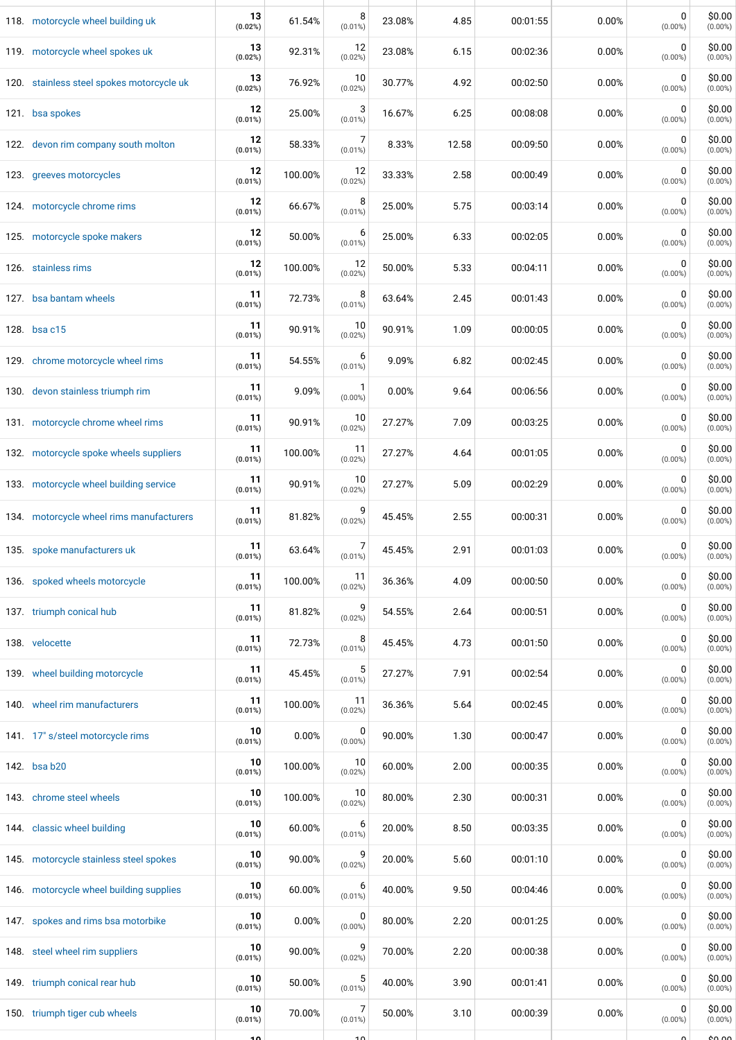| 118. motorcycle wheel building uk         | 13<br>(0.02%)    | 61.54%  | 8<br>$(0.01\%)$           | 23.08% | 4.85  | 00:01:55 | 0.00% | 0<br>$(0.00\%)$           | \$0.00<br>$(0.00\%)$ |
|-------------------------------------------|------------------|---------|---------------------------|--------|-------|----------|-------|---------------------------|----------------------|
| 119. motorcycle wheel spokes uk           | 13<br>(0.02%)    | 92.31%  | 12<br>(0.02%)             | 23.08% | 6.15  | 00:02:36 | 0.00% | 0<br>$(0.00\%)$           | \$0.00<br>$(0.00\%)$ |
| 120. stainless steel spokes motorcycle uk | 13<br>(0.02%)    | 76.92%  | 10<br>(0.02%)             | 30.77% | 4.92  | 00:02:50 | 0.00% | $\mathbf 0$<br>$(0.00\%)$ | \$0.00<br>$(0.00\%)$ |
| 121. bsa spokes                           | 12<br>$(0.01\%)$ | 25.00%  | 3<br>$(0.01\%)$           | 16.67% | 6.25  | 00:08:08 | 0.00% | $\mathbf 0$<br>$(0.00\%)$ | \$0.00<br>$(0.00\%)$ |
| 122. devon rim company south molton       | 12<br>$(0.01\%)$ | 58.33%  | 7<br>$(0.01\%)$           | 8.33%  | 12.58 | 00:09:50 | 0.00% | 0<br>$(0.00\%)$           | \$0.00<br>$(0.00\%)$ |
| 123. greeves motorcycles                  | 12<br>$(0.01\%)$ | 100.00% | 12<br>(0.02%)             | 33.33% | 2.58  | 00:00:49 | 0.00% | 0<br>$(0.00\%)$           | \$0.00<br>$(0.00\%)$ |
| 124. motorcycle chrome rims               | 12<br>(0.01%)    | 66.67%  | 8<br>$(0.01\%)$           | 25.00% | 5.75  | 00:03:14 | 0.00% | 0<br>$(0.00\%)$           | \$0.00<br>$(0.00\%)$ |
| 125. motorcycle spoke makers              | 12<br>$(0.01\%)$ | 50.00%  | 6<br>$(0.01\%)$           | 25.00% | 6.33  | 00:02:05 | 0.00% | 0<br>$(0.00\%)$           | \$0.00<br>$(0.00\%)$ |
| 126. stainless rims                       | 12<br>(0.01%)    | 100.00% | 12<br>(0.02%)             | 50.00% | 5.33  | 00:04:11 | 0.00% | 0<br>$(0.00\%)$           | \$0.00<br>$(0.00\%)$ |
| 127. bsa bantam wheels                    | 11<br>(0.01%)    | 72.73%  | 8<br>$(0.01\%)$           | 63.64% | 2.45  | 00:01:43 | 0.00% | 0<br>$(0.00\%)$           | \$0.00<br>$(0.00\%)$ |
| 128. bsa c15                              | 11<br>$(0.01\%)$ | 90.91%  | 10<br>(0.02%)             | 90.91% | 1.09  | 00:00:05 | 0.00% | 0<br>$(0.00\%)$           | \$0.00<br>$(0.00\%)$ |
| 129. chrome motorcycle wheel rims         | 11<br>(0.01%)    | 54.55%  | 6<br>$(0.01\%)$           | 9.09%  | 6.82  | 00:02:45 | 0.00% | 0<br>$(0.00\%)$           | \$0.00<br>$(0.00\%)$ |
| 130. devon stainless triumph rim          | 11<br>(0.01%)    | 9.09%   | $\mathbf 1$<br>$(0.00\%)$ | 0.00%  | 9.64  | 00:06:56 | 0.00% | 0<br>$(0.00\%)$           | \$0.00<br>$(0.00\%)$ |
| 131. motorcycle chrome wheel rims         | 11<br>(0.01%)    | 90.91%  | 10<br>(0.02%)             | 27.27% | 7.09  | 00:03:25 | 0.00% | 0<br>$(0.00\%)$           | \$0.00<br>$(0.00\%)$ |
| 132. motorcycle spoke wheels suppliers    | 11<br>(0.01%)    | 100.00% | 11<br>(0.02%)             | 27.27% | 4.64  | 00:01:05 | 0.00% | 0<br>$(0.00\%)$           | \$0.00<br>$(0.00\%)$ |
| 133. motorcycle wheel building service    | 11<br>(0.01%)    | 90.91%  | 10<br>(0.02%)             | 27.27% | 5.09  | 00:02:29 | 0.00% | $\mathbf 0$<br>$(0.00\%)$ | \$0.00<br>$(0.00\%)$ |
| 134. motorcycle wheel rims manufacturers  | 11<br>$(0.01\%)$ | 81.82%  | 9<br>(0.02%)              | 45.45% | 2.55  | 00:00:31 | 0.00% | 0<br>$(0.00\%)$           | \$0.00<br>$(0.00\%)$ |
| 135. spoke manufacturers uk               | 11<br>$(0.01\%)$ | 63.64%  | 7<br>$(0.01\%)$           | 45.45% | 2.91  | 00:01:03 | 0.00% | 0<br>$(0.00\%)$           | \$0.00<br>$(0.00\%)$ |
| 136. spoked wheels motorcycle             | 11<br>$(0.01\%)$ | 100.00% | 11<br>(0.02%)             | 36.36% | 4.09  | 00:00:50 | 0.00% | 0<br>$(0.00\%)$           | \$0.00<br>$(0.00\%)$ |
| 137. triumph conical hub                  | 11<br>$(0.01\%)$ | 81.82%  | 9<br>(0.02%)              | 54.55% | 2.64  | 00:00:51 | 0.00% | 0<br>$(0.00\%)$           | \$0.00<br>$(0.00\%)$ |
| 138. velocette                            | 11<br>(0.01%)    | 72.73%  | 8<br>$(0.01\%)$           | 45.45% | 4.73  | 00:01:50 | 0.00% | 0<br>$(0.00\%)$           | \$0.00<br>$(0.00\%)$ |
| 139. wheel building motorcycle            | 11<br>(0.01%)    | 45.45%  | 5<br>$(0.01\%)$           | 27.27% | 7.91  | 00:02:54 | 0.00% | 0<br>$(0.00\%)$           | \$0.00<br>$(0.00\%)$ |
| 140. wheel rim manufacturers              | 11<br>(0.01%)    | 100.00% | 11<br>(0.02%)             | 36.36% | 5.64  | 00:02:45 | 0.00% | 0<br>$(0.00\%)$           | \$0.00<br>$(0.00\%)$ |
| 141. 17" s/steel motorcycle rims          | 10<br>(0.01%)    | 0.00%   | 0<br>$(0.00\%)$           | 90.00% | 1.30  | 00:00:47 | 0.00% | 0<br>$(0.00\%)$           | \$0.00<br>$(0.00\%)$ |
| 142. bsa b20                              | 10<br>(0.01%)    | 100.00% | 10<br>(0.02%)             | 60.00% | 2.00  | 00:00:35 | 0.00% | 0<br>$(0.00\%)$           | \$0.00<br>$(0.00\%)$ |
| 143. chrome steel wheels                  | 10<br>(0.01%)    | 100.00% | 10<br>(0.02%)             | 80.00% | 2.30  | 00:00:31 | 0.00% | 0<br>$(0.00\%)$           | \$0.00<br>$(0.00\%)$ |
| 144. classic wheel building               | 10<br>(0.01%)    | 60.00%  | 6<br>$(0.01\%)$           | 20.00% | 8.50  | 00:03:35 | 0.00% | 0<br>$(0.00\%)$           | \$0.00<br>$(0.00\%)$ |
| 145. motorcycle stainless steel spokes    | 10<br>(0.01%)    | 90.00%  | g<br>(0.02%)              | 20.00% | 5.60  | 00:01:10 | 0.00% | 0<br>$(0.00\%)$           | \$0.00<br>$(0.00\%)$ |
| 146. motorcycle wheel building supplies   | 10<br>(0.01%)    | 60.00%  | 6<br>$(0.01\%)$           | 40.00% | 9.50  | 00:04:46 | 0.00% | 0<br>$(0.00\%)$           | \$0.00<br>$(0.00\%)$ |
| 147. spokes and rims bsa motorbike        | 10<br>(0.01%)    | 0.00%   | 0<br>$(0.00\%)$           | 80.00% | 2.20  | 00:01:25 | 0.00% | 0<br>$(0.00\%)$           | \$0.00<br>$(0.00\%)$ |
| 148. steel wheel rim suppliers            | 10<br>(0.01%)    | 90.00%  | 9<br>(0.02%)              | 70.00% | 2.20  | 00:00:38 | 0.00% | 0<br>$(0.00\%)$           | \$0.00<br>$(0.00\%)$ |
| 149. triumph conical rear hub             | 10<br>(0.01%)    | 50.00%  | 5<br>$(0.01\%)$           | 40.00% | 3.90  | 00:01:41 | 0.00% | 0<br>$(0.00\%)$           | \$0.00<br>$(0.00\%)$ |
| 150. triumph tiger cub wheels             | 10<br>(0.01%)    | 70.00%  | 7<br>$(0.01\%)$           | 50.00% | 3.10  | 00:00:39 | 0.00% | 0<br>$(0.00\%)$           | \$0.00<br>$(0.00\%)$ |
|                                           | 10               |         | 10                        |        |       |          |       |                           | لـممـمه              |

╄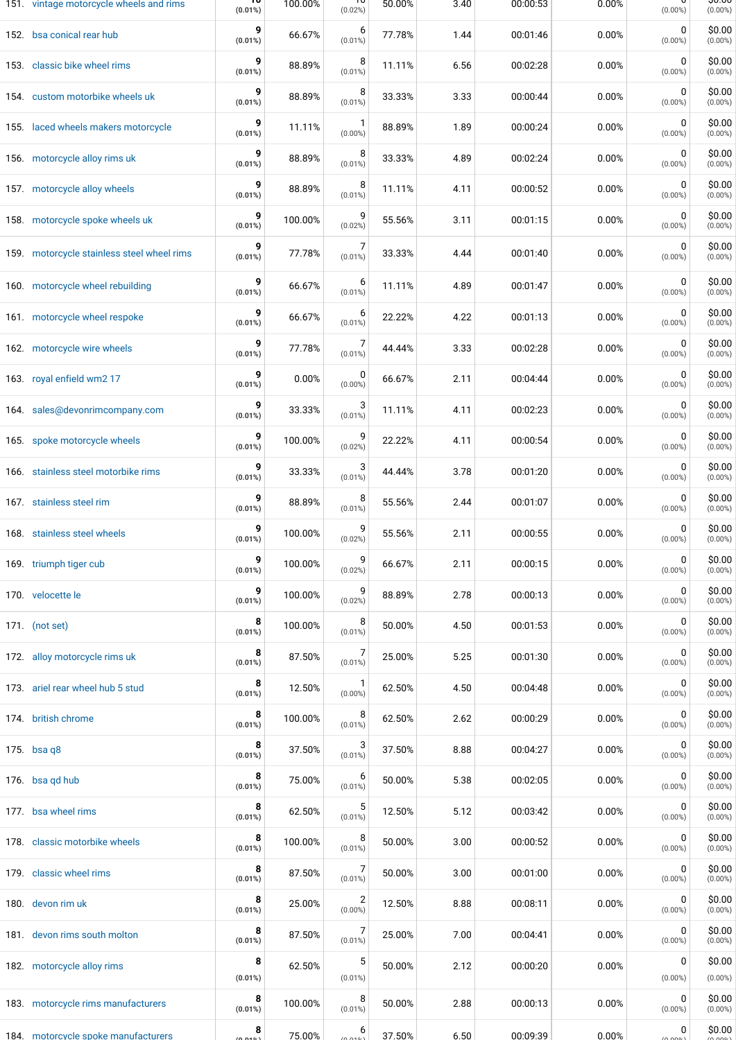| 151. vintage motorcycle wheels and rims    | $(0.01\%)$      | 100.00% | ᠇ᠣ<br>(0.02%)                | 50.00% | 3.40 | 00:00:53 | 0.00% | $(0.00\%)$      | ᡪᠣ.ᠸᠸ<br>$(0.00\%)$  |
|--------------------------------------------|-----------------|---------|------------------------------|--------|------|----------|-------|-----------------|----------------------|
| 152. bsa conical rear hub                  | 9<br>$(0.01\%)$ | 66.67%  | 6<br>$(0.01\%)$              | 77.78% | 1.44 | 00:01:46 | 0.00% | 0<br>$(0.00\%)$ | \$0.00<br>$(0.00\%)$ |
| 153. classic bike wheel rims               | 9<br>$(0.01\%)$ | 88.89%  | 8<br>$(0.01\%)$              | 11.11% | 6.56 | 00:02:28 | 0.00% | 0<br>$(0.00\%)$ | \$0.00<br>$(0.00\%)$ |
| 154. custom motorbike wheels uk            | 9<br>$(0.01\%)$ | 88.89%  | 8<br>$(0.01\%)$              | 33.33% | 3.33 | 00:00:44 | 0.00% | 0<br>$(0.00\%)$ | \$0.00<br>$(0.00\%)$ |
| 155. laced wheels makers motorcycle        | 9<br>(0.01%)    | 11.11%  | $(0.00\%)$                   | 88.89% | 1.89 | 00:00:24 | 0.00% | 0<br>$(0.00\%)$ | \$0.00<br>$(0.00\%)$ |
| 156. motorcycle alloy rims uk              | 9<br>$(0.01\%)$ | 88.89%  | 8<br>$(0.01\%)$              | 33.33% | 4.89 | 00:02:24 | 0.00% | 0<br>$(0.00\%)$ | \$0.00<br>$(0.00\%)$ |
| 157. motorcycle alloy wheels               | 9<br>$(0.01\%)$ | 88.89%  | 8<br>$(0.01\%)$              | 11.11% | 4.11 | 00:00:52 | 0.00% | 0<br>$(0.00\%)$ | \$0.00<br>$(0.00\%)$ |
| 158. motorcycle spoke wheels uk            | 9<br>(0.01%)    | 100.00% | (0.02%)                      | 55.56% | 3.11 | 00:01:15 | 0.00% | 0<br>$(0.00\%)$ | \$0.00<br>$(0.00\%)$ |
| 159. motorcycle stainless steel wheel rims | $(0.01\%)$      | 77.78%  | $(0.01\%)$                   | 33.33% | 4.44 | 00:01:40 | 0.00% | 0<br>$(0.00\%)$ | \$0.00<br>$(0.00\%)$ |
| 160. motorcycle wheel rebuilding           | 9<br>$(0.01\%)$ | 66.67%  | 6<br>$(0.01\%)$              | 11.11% | 4.89 | 00:01:47 | 0.00% | 0<br>$(0.00\%)$ | \$0.00<br>$(0.00\%)$ |
| 161. motorcycle wheel respoke              | 9<br>$(0.01\%)$ | 66.67%  | 6<br>$(0.01\%)$              | 22.22% | 4.22 | 00:01:13 | 0.00% | 0<br>$(0.00\%)$ | \$0.00<br>$(0.00\%)$ |
| 162. motorcycle wire wheels                | 9<br>$(0.01\%)$ | 77.78%  | $(0.01\%)$                   | 44.44% | 3.33 | 00:02:28 | 0.00% | 0<br>$(0.00\%)$ | \$0.00<br>$(0.00\%)$ |
| 163. royal enfield wm2 17                  | 9<br>$(0.01\%)$ | 0.00%   | 0<br>$(0.00\%)$              | 66.67% | 2.11 | 00:04:44 | 0.00% | 0<br>$(0.00\%)$ | \$0.00<br>$(0.00\%)$ |
| 164. sales@devonrimcompany.com             | 9<br>$(0.01\%)$ | 33.33%  | $(0.01\%)$                   | 11.11% | 4.11 | 00:02:23 | 0.00% | 0<br>$(0.00\%)$ | \$0.00<br>$(0.00\%)$ |
| 165. spoke motorcycle wheels               | 9<br>(0.01%)    | 100.00% | (0.02%)                      | 22.22% | 4.11 | 00:00:54 | 0.00% | 0<br>$(0.00\%)$ | \$0.00<br>$(0.00\%)$ |
| 166. stainless steel motorbike rims        | 9<br>(0.01%)    | 33.33%  | 3<br>$(0.01\%)$              | 44.44% | 3.78 | 00:01:20 | 0.00% | 0<br>$(0.00\%)$ | \$0.00<br>$(0.00\%)$ |
| 167. stainless steel rim                   | 9<br>(0.01%)    | 88.89%  | 8<br>$(0.01\%)$              | 55.56% | 2.44 | 00:01:07 | 0.00% | 0<br>$(0.00\%)$ | \$0.00<br>$(0.00\%)$ |
| 168. stainless steel wheels                | 9<br>$(0.01\%)$ | 100.00% | 9<br>(0.02%)                 | 55.56% | 2.11 | 00:00:55 | 0.00% | 0<br>$(0.00\%)$ | \$0.00<br>$(0.00\%)$ |
| 169. triumph tiger cub                     | 9<br>$(0.01\%)$ | 100.00% | 9<br>(0.02%)                 | 66.67% | 2.11 | 00:00:15 | 0.00% | 0<br>$(0.00\%)$ | \$0.00<br>$(0.00\%)$ |
| 170. velocette le                          | 9<br>$(0.01\%)$ | 100.00% | 9<br>(0.02%)                 | 88.89% | 2.78 | 00:00:13 | 0.00% | 0<br>$(0.00\%)$ | \$0.00<br>$(0.00\%)$ |
| 171. (not set)                             | 8<br>$(0.01\%)$ | 100.00% | 8<br>$(0.01\%)$              | 50.00% | 4.50 | 00:01:53 | 0.00% | 0<br>$(0.00\%)$ | \$0.00<br>$(0.00\%)$ |
| 172. alloy motorcycle rims uk              | 8<br>$(0.01\%)$ | 87.50%  | 7<br>$(0.01\%)$              | 25.00% | 5.25 | 00:01:30 | 0.00% | 0<br>$(0.00\%)$ | \$0.00<br>$(0.00\%)$ |
| 173. ariel rear wheel hub 5 stud           | 8<br>(0.01%)    | 12.50%  | $(0.00\%)$                   | 62.50% | 4.50 | 00:04:48 | 0.00% | 0<br>$(0.00\%)$ | \$0.00<br>$(0.00\%)$ |
| 174. british chrome                        | 8<br>$(0.01\%)$ | 100.00% | 8<br>$(0.01\%)$              | 62.50% | 2.62 | 00:00:29 | 0.00% | 0<br>$(0.00\%)$ | \$0.00<br>$(0.00\%)$ |
| 175. bsa q $8$                             | 8<br>(0.01%)    | 37.50%  | $(0.01\%)$                   | 37.50% | 8.88 | 00:04:27 | 0.00% | 0<br>$(0.00\%)$ | \$0.00<br>$(0.00\%)$ |
| 176. bsa gd hub                            | 8<br>$(0.01\%)$ | 75.00%  | 6<br>$(0.01\%)$              | 50.00% | 5.38 | 00:02:05 | 0.00% | 0<br>$(0.00\%)$ | \$0.00<br>$(0.00\%)$ |
| 177. bsa wheel rims                        | 8<br>$(0.01\%)$ | 62.50%  | $(0.01\%)$                   | 12.50% | 5.12 | 00:03:42 | 0.00% | 0<br>$(0.00\%)$ | \$0.00<br>$(0.00\%)$ |
| 178. classic motorbike wheels              | 8<br>$(0.01\%)$ | 100.00% | 8<br>$(0.01\%)$              | 50.00% | 3.00 | 00:00:52 | 0.00% | 0<br>$(0.00\%)$ | \$0.00<br>$(0.00\%)$ |
| 179. classic wheel rims                    | 8<br>$(0.01\%)$ | 87.50%  | $(0.01\%)$                   | 50.00% | 3.00 | 00:01:00 | 0.00% | 0<br>$(0.00\%)$ | \$0.00<br>$(0.00\%)$ |
| 180. devon rim uk                          | 8<br>$(0.01\%)$ | 25.00%  | $\overline{2}$<br>$(0.00\%)$ | 12.50% | 8.88 | 00:08:11 | 0.00% | 0<br>$(0.00\%)$ | \$0.00<br>$(0.00\%)$ |
| 181. devon rims south molton               | 8<br>(0.01%)    | 87.50%  | $(0.01\%)$                   | 25.00% | 7.00 | 00:04:41 | 0.00% | 0<br>$(0.00\%)$ | \$0.00<br>$(0.00\%)$ |
| 182. motorcycle alloy rims                 | 8<br>(0.01%)    | 62.50%  | 5<br>$(0.01\%)$              | 50.00% | 2.12 | 00:00:20 | 0.00% | 0<br>$(0.00\%)$ | \$0.00<br>$(0.00\%)$ |
| 183. motorcycle rims manufacturers         | 8<br>(0.01%)    | 100.00% | 8<br>$(0.01\%)$              | 50.00% | 2.88 | 00:00:13 | 0.00% | 0<br>$(0.00\%)$ | \$0.00<br>$(0.00\%)$ |
| 184. motorcycle spoke manufacturers        | 8               | 75.00%  | 6<br>(0.010)                 | 37.50% | 6.50 | 00:09:39 | 0.00% | 0<br>(0.009)    | \$0.00               |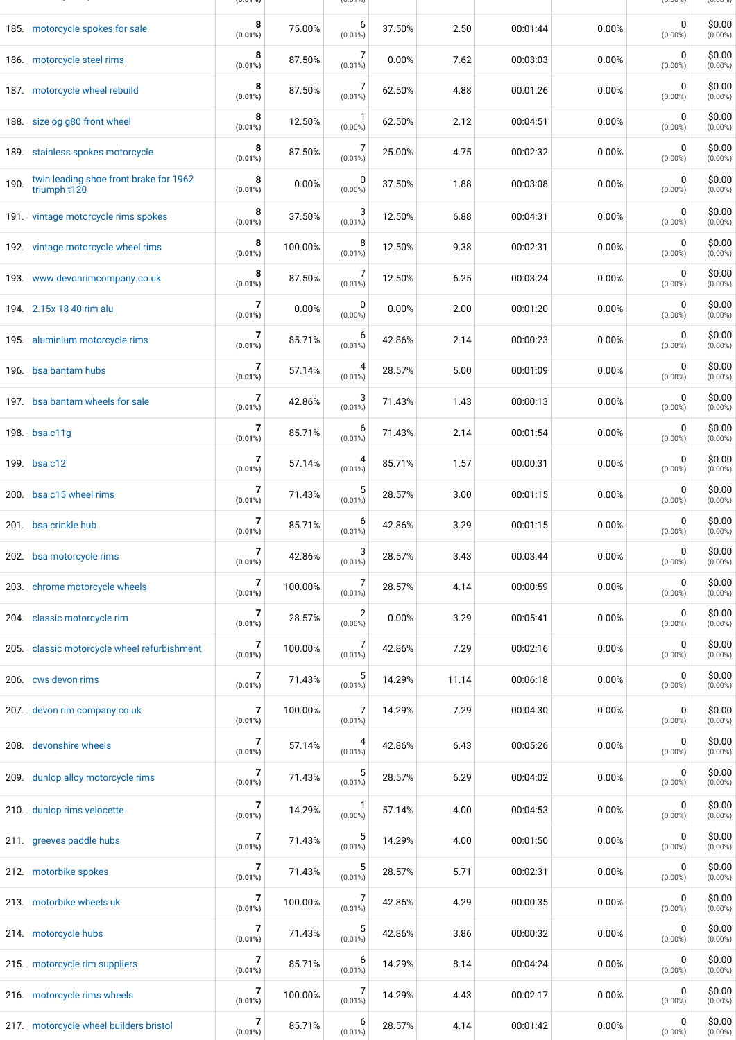|      | 185. motorcycle spokes for sale                        | 8<br>$(0.01\%)$ | 75.00%  | 6<br>$(0.01\%)$           | 37.50% | 2.50  | 00:01:44 | 0.00% | 0<br>$(0.00\%)$           | \$0.00<br>$(0.00\%)$ |
|------|--------------------------------------------------------|-----------------|---------|---------------------------|--------|-------|----------|-------|---------------------------|----------------------|
|      | 186. motorcycle steel rims                             | 8<br>$(0.01\%)$ | 87.50%  | 7<br>$(0.01\%)$           | 0.00%  | 7.62  | 00:03:03 | 0.00% | 0<br>$(0.00\%)$           | \$0.00<br>$(0.00\%)$ |
|      | 187. motorcycle wheel rebuild                          | 8<br>$(0.01\%)$ | 87.50%  | 7<br>$(0.01\%)$           | 62.50% | 4.88  | 00:01:26 | 0.00% | 0<br>$(0.00\%)$           | \$0.00<br>$(0.00\%)$ |
|      | 188. size og g80 front wheel                           | 8<br>$(0.01\%)$ | 12.50%  | -1<br>$(0.00\%)$          | 62.50% | 2.12  | 00:04:51 | 0.00% | $\mathbf 0$<br>$(0.00\%)$ | \$0.00<br>$(0.00\%)$ |
|      | 189. stainless spokes motorcycle                       | 8<br>$(0.01\%)$ | 87.50%  | 7<br>$(0.01\%)$           | 25.00% | 4.75  | 00:02:32 | 0.00% | 0<br>$(0.00\%)$           | \$0.00<br>$(0.00\%)$ |
| 190. | twin leading shoe front brake for 1962<br>triumph t120 | 8<br>$(0.01\%)$ | 0.00%   | 0<br>$(0.00\%)$           | 37.50% | 1.88  | 00:03:08 | 0.00% | 0<br>$(0.00\%)$           | \$0.00<br>$(0.00\%)$ |
|      | 191. vintage motorcycle rims spokes                    | 8<br>$(0.01\%)$ | 37.50%  | 3<br>$(0.01\%)$           | 12.50% | 6.88  | 00:04:31 | 0.00% | 0<br>$(0.00\%)$           | \$0.00<br>$(0.00\%)$ |
|      | 192. vintage motorcycle wheel rims                     | 8<br>$(0.01\%)$ | 100.00% | 8<br>$(0.01\%)$           | 12.50% | 9.38  | 00:02:31 | 0.00% | 0<br>$(0.00\%)$           | \$0.00<br>$(0.00\%)$ |
|      | 193. www.devonrimcompany.co.uk                         | 8<br>(0.01%)    | 87.50%  | 7<br>$(0.01\%)$           | 12.50% | 6.25  | 00:03:24 | 0.00% | 0<br>$(0.00\%)$           | \$0.00<br>$(0.00\%)$ |
|      | 194. 2.15x 18 40 rim alu                               | 7<br>$(0.01\%)$ | 0.00%   | 0<br>$(0.00\%)$           | 0.00%  | 2.00  | 00:01:20 | 0.00% | 0<br>$(0.00\%)$           | \$0.00<br>$(0.00\%)$ |
|      | 195. aluminium motorcycle rims                         | 7<br>$(0.01\%)$ | 85.71%  | 6<br>$(0.01\%)$           | 42.86% | 2.14  | 00:00:23 | 0.00% | 0<br>$(0.00\%)$           | \$0.00<br>$(0.00\%)$ |
|      | 196. bsa bantam hubs                                   | 7<br>$(0.01\%)$ | 57.14%  | 4<br>$(0.01\%)$           | 28.57% | 5.00  | 00:01:09 | 0.00% | 0<br>$(0.00\%)$           | \$0.00<br>$(0.00\%)$ |
|      | 197. bsa bantam wheels for sale                        | 7<br>$(0.01\%)$ | 42.86%  | 3<br>$(0.01\%)$           | 71.43% | 1.43  | 00:00:13 | 0.00% | 0<br>$(0.00\%)$           | \$0.00<br>$(0.00\%)$ |
|      | 198. bsa c11g                                          | 7<br>$(0.01\%)$ | 85.71%  | 6<br>$(0.01\%)$           | 71.43% | 2.14  | 00:01:54 | 0.00% | 0<br>$(0.00\%)$           | \$0.00<br>$(0.00\%)$ |
|      | 199. bsa c12                                           | 7<br>$(0.01\%)$ | 57.14%  | 4<br>$(0.01\%)$           | 85.71% | 1.57  | 00:00:31 | 0.00% | 0<br>$(0.00\%)$           | \$0.00<br>$(0.00\%)$ |
|      | 200. bsa c15 wheel rims                                | 7<br>$(0.01\%)$ | 71.43%  | 5<br>$(0.01\%)$           | 28.57% | 3.00  | 00:01:15 | 0.00% | 0<br>$(0.00\%)$           | \$0.00<br>$(0.00\%)$ |
|      | 201. bsa crinkle hub                                   | 7<br>(0.01%)    | 85.71%  | 6<br>$(0.01\%)$           | 42.86% | 3.29  | 00:01:15 | 0.00% | 0<br>$(0.00\%)$           | \$0.00<br>$(0.00\%)$ |
|      | 202. bsa motorcycle rims                               | 7<br>(0.01%)    | 42.86%  | 3<br>$(0.01\%)$           | 28.57% | 3.43  | 00:03:44 | 0.00% | 0<br>$(0.00\%)$           | \$0.00<br>$(0.00\%)$ |
|      | 203. chrome motorcycle wheels                          | 7<br>$(0.01\%)$ | 100.00% | 7<br>$(0.01\%)$           | 28.57% | 4.14  | 00:00:59 | 0.00% | 0<br>$(0.00\%)$           | \$0.00<br>$(0.00\%)$ |
|      | 204. classic motorcycle rim                            | 7<br>$(0.01\%)$ | 28.57%  | 2<br>$(0.00\%)$           | 0.00%  | 3.29  | 00:05:41 | 0.00% | 0<br>$(0.00\%)$           | \$0.00<br>$(0.00\%)$ |
|      | 205. classic motorcycle wheel refurbishment            | 7<br>$(0.01\%)$ | 100.00% | 7<br>$(0.01\%)$           | 42.86% | 7.29  | 00:02:16 | 0.00% | 0<br>$(0.00\%)$           | \$0.00<br>$(0.00\%)$ |
|      | 206. cws devon rims                                    | 7<br>$(0.01\%)$ | 71.43%  | 5<br>$(0.01\%)$           | 14.29% | 11.14 | 00:06:18 | 0.00% | 0<br>$(0.00\%)$           | \$0.00<br>$(0.00\%)$ |
|      | 207. devon rim company co uk                           | 7<br>$(0.01\%)$ | 100.00% | 7<br>$(0.01\%)$           | 14.29% | 7.29  | 00:04:30 | 0.00% | 0<br>$(0.00\%)$           | \$0.00<br>$(0.00\%)$ |
|      | 208. devonshire wheels                                 | 7<br>$(0.01\%)$ | 57.14%  | 4<br>$(0.01\%)$           | 42.86% | 6.43  | 00:05:26 | 0.00% | 0<br>$(0.00\%)$           | \$0.00<br>$(0.00\%)$ |
|      | 209. dunlop alloy motorcycle rims                      | 7<br>$(0.01\%)$ | 71.43%  | 5<br>$(0.01\%)$           | 28.57% | 6.29  | 00:04:02 | 0.00% | 0<br>$(0.00\%)$           | \$0.00<br>$(0.00\%)$ |
|      | 210. dunlop rims velocette                             | 7<br>$(0.01\%)$ | 14.29%  | $\mathbf 1$<br>$(0.00\%)$ | 57.14% | 4.00  | 00:04:53 | 0.00% | 0<br>$(0.00\%)$           | \$0.00<br>$(0.00\%)$ |
|      | 211. greeves paddle hubs                               | 7<br>$(0.01\%)$ | 71.43%  | 5<br>$(0.01\%)$           | 14.29% | 4.00  | 00:01:50 | 0.00% | 0<br>$(0.00\%)$           | \$0.00<br>$(0.00\%)$ |
|      | 212. motorbike spokes                                  | 7<br>$(0.01\%)$ | 71.43%  | 5<br>$(0.01\%)$           | 28.57% | 5.71  | 00:02:31 | 0.00% | 0<br>$(0.00\%)$           | \$0.00<br>$(0.00\%)$ |
|      | 213. motorbike wheels uk                               | 7<br>$(0.01\%)$ | 100.00% | 7<br>$(0.01\%)$           | 42.86% | 4.29  | 00:00:35 | 0.00% | 0<br>$(0.00\%)$           | \$0.00<br>$(0.00\%)$ |
|      | 214. motorcycle hubs                                   | 7<br>$(0.01\%)$ | 71.43%  | 5<br>$(0.01\%)$           | 42.86% | 3.86  | 00:00:32 | 0.00% | 0<br>$(0.00\%)$           | \$0.00<br>$(0.00\%)$ |
|      | 215. motorcycle rim suppliers                          | 7<br>(0.01%)    | 85.71%  | 6<br>$(0.01\%)$           | 14.29% | 8.14  | 00:04:24 | 0.00% | 0<br>$(0.00\%)$           | \$0.00<br>$(0.00\%)$ |
|      | 216. motorcycle rims wheels                            | 7<br>(0.01%)    | 100.00% | 7<br>$(0.01\%)$           | 14.29% | 4.43  | 00:02:17 | 0.00% | 0<br>$(0.00\%)$           | \$0.00<br>$(0.00\%)$ |
|      | 217. motorcycle wheel builders bristol                 | 7<br>$(0.01\%)$ | 85.71%  | 6<br>$(0.01\%)$           | 28.57% | 4.14  | 00:01:42 | 0.00% | 0<br>$(0.00\%)$           | \$0.00<br>$(0.00\%)$ |

184. motorcycle spoke manufacturers **(0.01%)** 75.00% (0.01%) 37.50% 6.50 00:09:39 0.00% (0.00%) (0.00%)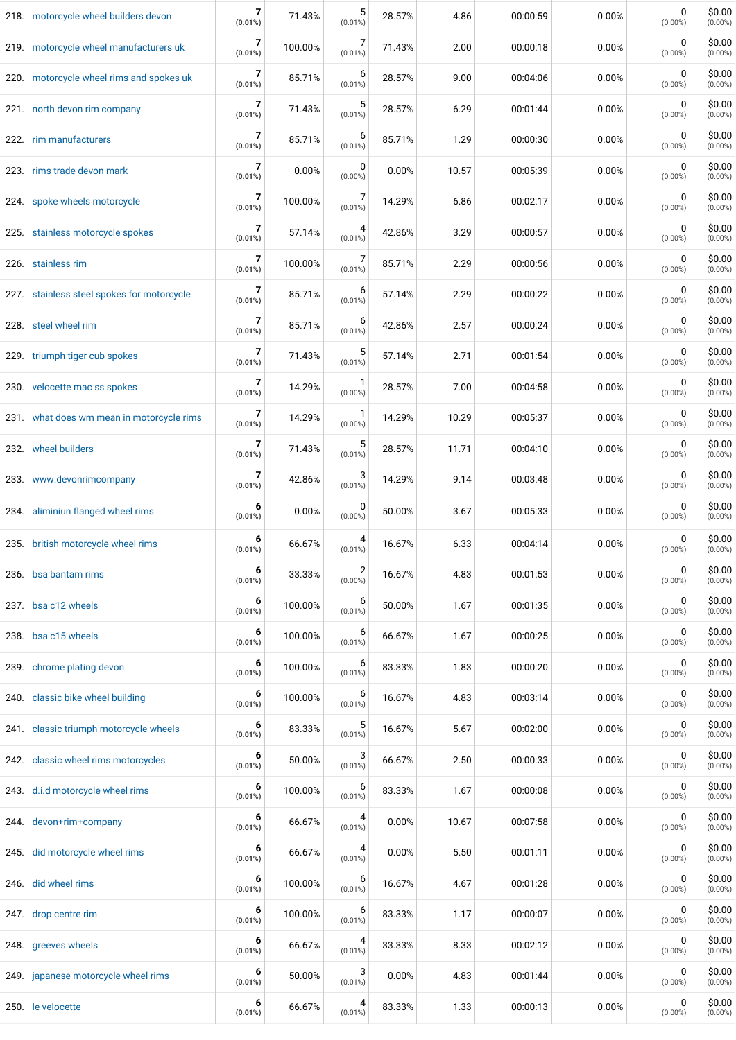| 218. motorcycle wheel builders devon       | 7<br>$(0.01\%)$ | 71.43%  | 5<br>$(0.01\%)$              | 28.57% | 4.86  | 00:00:59 | 0.00% | 0<br>$(0.00\%)$           | \$0.00<br>$(0.00\%)$ |
|--------------------------------------------|-----------------|---------|------------------------------|--------|-------|----------|-------|---------------------------|----------------------|
| 219. motorcycle wheel manufacturers uk     | 7<br>$(0.01\%)$ | 100.00% | $(0.01\%)$                   | 71.43% | 2.00  | 00:00:18 | 0.00% | 0<br>$(0.00\%)$           | \$0.00<br>$(0.00\%)$ |
| 220. motorcycle wheel rims and spokes uk   | 7<br>$(0.01\%)$ | 85.71%  | 6<br>$(0.01\%)$              | 28.57% | 9.00  | 00:04:06 | 0.00% | 0<br>$(0.00\%)$           | \$0.00<br>$(0.00\%)$ |
| 221. north devon rim company               | 7<br>$(0.01\%)$ | 71.43%  | 5<br>$(0.01\%)$              | 28.57% | 6.29  | 00:01:44 | 0.00% | 0<br>$(0.00\%)$           | \$0.00<br>$(0.00\%)$ |
| 222. rim manufacturers                     | 7<br>$(0.01\%)$ | 85.71%  | 6<br>$(0.01\%)$              | 85.71% | 1.29  | 00:00:30 | 0.00% | 0<br>$(0.00\%)$           | \$0.00<br>$(0.00\%)$ |
| 223. rims trade devon mark                 | 7<br>$(0.01\%)$ | 0.00%   | 0<br>$(0.00\%)$              | 0.00%  | 10.57 | 00:05:39 | 0.00% | $\mathbf 0$<br>$(0.00\%)$ | \$0.00<br>$(0.00\%)$ |
| 224. spoke wheels motorcycle               | 7<br>$(0.01\%)$ | 100.00% | 7<br>$(0.01\%)$              | 14.29% | 6.86  | 00:02:17 | 0.00% | $\mathbf 0$<br>$(0.00\%)$ | \$0.00<br>$(0.00\%)$ |
| 225. stainless motorcycle spokes           | 7<br>$(0.01\%)$ | 57.14%  | 4<br>$(0.01\%)$              | 42.86% | 3.29  | 00:00:57 | 0.00% | 0<br>$(0.00\%)$           | \$0.00<br>$(0.00\%)$ |
| 226. stainless rim                         | 7<br>$(0.01\%)$ | 100.00% | 7<br>$(0.01\%)$              | 85.71% | 2.29  | 00:00:56 | 0.00% | 0<br>$(0.00\%)$           | \$0.00<br>$(0.00\%)$ |
| 227. stainless steel spokes for motorcycle | 7<br>$(0.01\%)$ | 85.71%  | 6<br>$(0.01\%)$              | 57.14% | 2.29  | 00:00:22 | 0.00% | $\mathbf 0$<br>$(0.00\%)$ | \$0.00<br>$(0.00\%)$ |
| 228. steel wheel rim                       | 7<br>$(0.01\%)$ | 85.71%  | 6<br>$(0.01\%)$              | 42.86% | 2.57  | 00:00:24 | 0.00% | 0<br>$(0.00\%)$           | \$0.00<br>$(0.00\%)$ |
| 229. triumph tiger cub spokes              | 7<br>$(0.01\%)$ | 71.43%  | 5<br>$(0.01\%)$              | 57.14% | 2.71  | 00:01:54 | 0.00% | 0<br>$(0.00\%)$           | \$0.00<br>$(0.00\%)$ |
| 230. velocette mac ss spokes               | 7<br>$(0.01\%)$ | 14.29%  | $(0.00\%)$                   | 28.57% | 7.00  | 00:04:58 | 0.00% | $\mathbf 0$<br>$(0.00\%)$ | \$0.00<br>$(0.00\%)$ |
| 231. what does wm mean in motorcycle rims  | 7<br>$(0.01\%)$ | 14.29%  | $(0.00\%)$                   | 14.29% | 10.29 | 00:05:37 | 0.00% | 0<br>$(0.00\%)$           | \$0.00<br>$(0.00\%)$ |
| 232. wheel builders                        | 7<br>$(0.01\%)$ | 71.43%  | 5<br>$(0.01\%)$              | 28.57% | 11.71 | 00:04:10 | 0.00% | 0<br>$(0.00\%)$           | \$0.00<br>$(0.00\%)$ |
| 233. www.devonrimcompany                   | 7<br>$(0.01\%)$ | 42.86%  | 3<br>$(0.01\%)$              | 14.29% | 9.14  | 00:03:48 | 0.00% | $\mathbf 0$<br>$(0.00\%)$ | \$0.00<br>$(0.00\%)$ |
| 234. aliminiun flanged wheel rims          | 6<br>$(0.01\%)$ | 0.00%   | 0<br>$(0.00\%)$              | 50.00% | 3.67  | 00:05:33 | 0.00% | 0<br>$(0.00\%)$           | \$0.00<br>$(0.00\%)$ |
| 235. british motorcycle wheel rims         | 6<br>$(0.01\%)$ | 66.67%  | 4<br>$(0.01\%)$              | 16.67% | 6.33  | 00:04:14 | 0.00% | 0<br>$(0.00\%)$           | \$0.00<br>$(0.00\%)$ |
| 236. bsa bantam rims                       | 6<br>$(0.01\%)$ | 33.33%  | $\overline{2}$<br>$(0.00\%)$ | 16.67% | 4.83  | 00:01:53 | 0.00% | 0<br>$(0.00\%)$           | \$0.00<br>$(0.00\%)$ |
| 237. bsa c12 wheels                        | 6<br>(0.01%)    | 100.00% | 6<br>$(0.01\%)$              | 50.00% | 1.67  | 00:01:35 | 0.00% | 0<br>$(0.00\%)$           | \$0.00<br>$(0.00\%)$ |
| 238. bsa c15 wheels                        | 6<br>$(0.01\%)$ | 100.00% | 6<br>$(0.01\%)$              | 66.67% | 1.67  | 00:00:25 | 0.00% | 0<br>$(0.00\%)$           | \$0.00<br>$(0.00\%)$ |
| 239. chrome plating devon                  | 6<br>$(0.01\%)$ | 100.00% | 6<br>$(0.01\%)$              | 83.33% | 1.83  | 00:00:20 | 0.00% | 0<br>$(0.00\%)$           | \$0.00<br>$(0.00\%)$ |
| 240. classic bike wheel building           | 6<br>(0.01%)    | 100.00% | 6<br>$(0.01\%)$              | 16.67% | 4.83  | 00:03:14 | 0.00% | 0<br>$(0.00\%)$           | \$0.00<br>$(0.00\%)$ |
| 241. classic triumph motorcycle wheels     | 6<br>$(0.01\%)$ | 83.33%  | 5<br>(0.01%)                 | 16.67% | 5.67  | 00:02:00 | 0.00% | 0<br>$(0.00\%)$           | \$0.00<br>$(0.00\%)$ |
| 242. classic wheel rims motorcycles        | 6<br>(0.01%)    | 50.00%  | 3<br>$(0.01\%)$              | 66.67% | 2.50  | 00:00:33 | 0.00% | 0<br>$(0.00\%)$           | \$0.00<br>$(0.00\%)$ |
| 243. d.i.d motorcycle wheel rims           | 6<br>$(0.01\%)$ | 100.00% | 6<br>$(0.01\%)$              | 83.33% | 1.67  | 00:00:08 | 0.00% | 0<br>$(0.00\%)$           | \$0.00<br>$(0.00\%)$ |
| 244. devon+rim+company                     | 6<br>$(0.01\%)$ | 66.67%  | 4<br>$(0.01\%)$              | 0.00%  | 10.67 | 00:07:58 | 0.00% | 0<br>$(0.00\%)$           | \$0.00<br>$(0.00\%)$ |
| 245. did motorcycle wheel rims             | 6<br>(0.01%)    | 66.67%  | 4<br>$(0.01\%)$              | 0.00%  | 5.50  | 00:01:11 | 0.00% | 0<br>$(0.00\%)$           | \$0.00<br>$(0.00\%)$ |
| 246. did wheel rims                        | 6<br>$(0.01\%)$ | 100.00% | $(0.01\%)$                   | 16.67% | 4.67  | 00:01:28 | 0.00% | 0<br>$(0.00\%)$           | \$0.00<br>$(0.00\%)$ |
| 247. drop centre rim                       | 6<br>$(0.01\%)$ | 100.00% | 6<br>$(0.01\%)$              | 83.33% | 1.17  | 00:00:07 | 0.00% | 0<br>$(0.00\%)$           | \$0.00<br>$(0.00\%)$ |
| 248. greeves wheels                        | 6<br>(0.01%)    | 66.67%  | 4<br>$(0.01\%)$              | 33.33% | 8.33  | 00:02:12 | 0.00% | 0<br>$(0.00\%)$           | \$0.00<br>$(0.00\%)$ |
| 249. japanese motorcycle wheel rims        | 6<br>$(0.01\%)$ | 50.00%  | 3<br>$(0.01\%)$              | 0.00%  | 4.83  | 00:01:44 | 0.00% | 0<br>$(0.00\%)$           | \$0.00<br>$(0.00\%)$ |
| 250. le velocette                          | 6<br>$(0.01\%)$ | 66.67%  | 4<br>$(0.01\%)$              | 83.33% | 1.33  | 00:00:13 | 0.00% | 0<br>$(0.00\%)$           | \$0.00<br>$(0.00\%)$ |